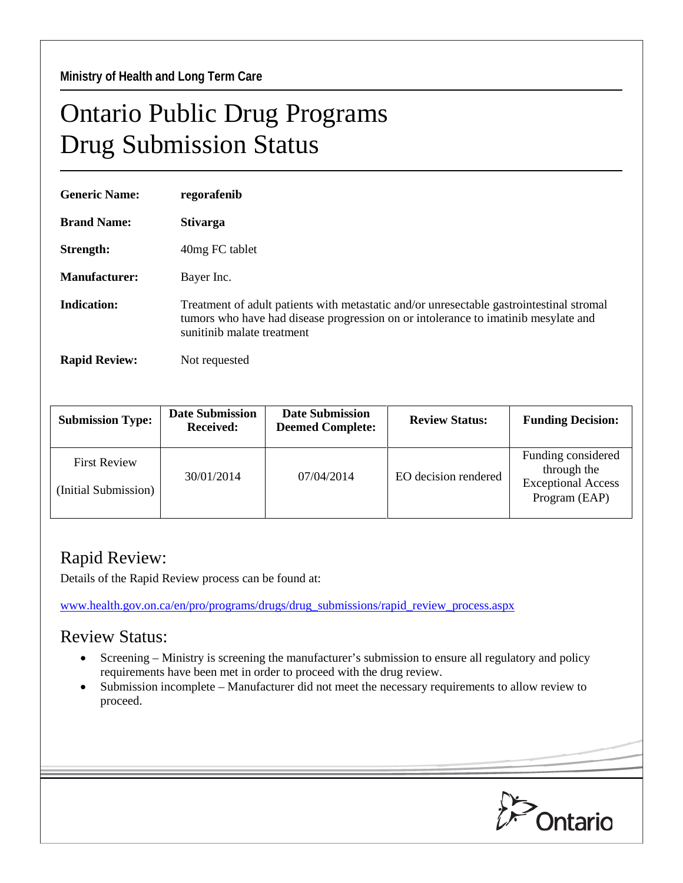## Ontario Public Drug Programs Drug Submission Status

| <b>Generic Name:</b> | regorafenib                                                                                                                                                                                                  |  |
|----------------------|--------------------------------------------------------------------------------------------------------------------------------------------------------------------------------------------------------------|--|
| <b>Brand Name:</b>   | <b>Stivarga</b>                                                                                                                                                                                              |  |
| Strength:            | 40 mg FC tablet                                                                                                                                                                                              |  |
| Manufacturer:        | Bayer Inc.                                                                                                                                                                                                   |  |
| <b>Indication:</b>   | Treatment of adult patients with metastatic and/or unresectable gastrointestinal stromal<br>tumors who have had disease progression on or intolerance to imatinib mesylate and<br>sunitinib malate treatment |  |
| <b>Rapid Review:</b> | Not requested                                                                                                                                                                                                |  |

| <b>Submission Type:</b>                     | <b>Date Submission</b><br><b>Received:</b> | <b>Date Submission</b><br><b>Deemed Complete:</b> | <b>Review Status:</b> | <b>Funding Decision:</b>                                                        |
|---------------------------------------------|--------------------------------------------|---------------------------------------------------|-----------------------|---------------------------------------------------------------------------------|
| <b>First Review</b><br>(Initial Submission) | 30/01/2014                                 | 07/04/2014                                        | EO decision rendered  | Funding considered<br>through the<br><b>Exceptional Access</b><br>Program (EAP) |

## Rapid Review:

Details of the Rapid Review process can be found at:

[www.health.gov.on.ca/en/pro/programs/drugs/drug\\_submissions/rapid\\_review\\_process.aspx](http://www.health.gov.on.ca/en/pro/programs/drugs/drug_submissions/rapid_review_process.aspx)

## Review Status:

- Screening Ministry is screening the manufacturer's submission to ensure all regulatory and policy requirements have been met in order to proceed with the drug review.
- Submission incomplete Manufacturer did not meet the necessary requirements to allow review to proceed.